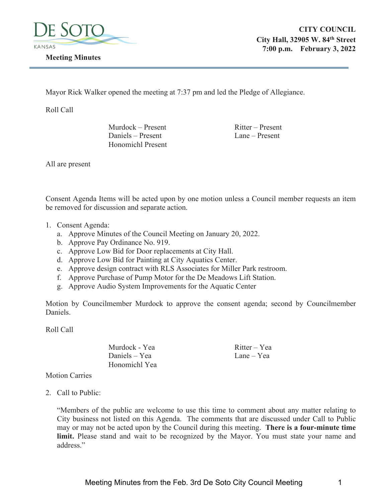

Mayor Rick Walker opened the meeting at 7:37 pm and led the Pledge of Allegiance.

Roll Call

 $Murdock$  – Present Ritter – Present Daniels – Present Lane – Present Honomichl Present

All are present

Consent Agenda Items will be acted upon by one motion unless a Council member requests an item be removed for discussion and separate action.

- 1. Consent Agenda:
	- a. Approve Minutes of the Council Meeting on January 20, 2022.
	- b. Approve Pay Ordinance No. 919.
	- c. Approve Low Bid for Door replacements at City Hall.
	- d. Approve Low Bid for Painting at City Aquatics Center.
	- e. Approve design contract with RLS Associates for Miller Park restroom.
	- f. Approve Purchase of Pump Motor for the De Meadows Lift Station.
	- g. Approve Audio System Improvements for the Aquatic Center

Motion by Councilmember Murdock to approve the consent agenda; second by Councilmember Daniels.

Roll Call

Murdock - Yea Ritter – Yea Daniels – Yea Lane – Yea Honomichl Yea

Motion Carries

2. Call to Public:

"Members of the public are welcome to use this time to comment about any matter relating to City business not listed on this Agenda. The comments that are discussed under Call to Public may or may not be acted upon by the Council during this meeting. **There is a four-minute time limit.** Please stand and wait to be recognized by the Mayor. You must state your name and address."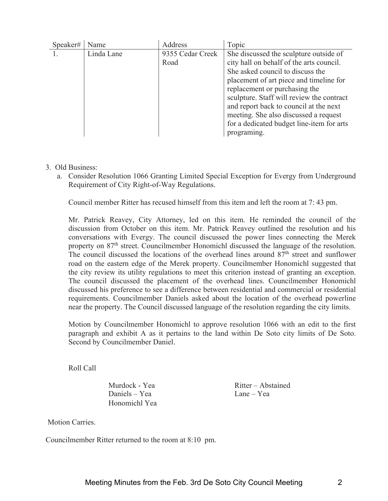| Speaker# | Name       | Address          | Topic                                     |
|----------|------------|------------------|-------------------------------------------|
|          | Linda Lane | 9355 Cedar Creek | She discussed the sculpture outside of    |
|          |            | Road             | city hall on behalf of the arts council.  |
|          |            |                  | She asked council to discuss the          |
|          |            |                  | placement of art piece and timeline for   |
|          |            |                  | replacement or purchasing the             |
|          |            |                  | sculpture. Staff will review the contract |
|          |            |                  | and report back to council at the next    |
|          |            |                  | meeting. She also discussed a request     |
|          |            |                  | for a dedicated budget line-item for arts |
|          |            |                  | programing.                               |

## 3. Old Business:

a. Consider Resolution 1066 Granting Limited Special Exception for Evergy from Underground Requirement of City Right-of-Way Regulations.

Council member Ritter has recused himself from this item and left the room at 7: 43 pm.

Mr. Patrick Reavey, City Attorney, led on this item. He reminded the council of the discussion from October on this item. Mr. Patrick Reavey outlined the resolution and his conversations with Evergy. The council discussed the power lines connecting the Merek property on 87<sup>th</sup> street. Councilmember Honomichl discussed the language of the resolution. The council discussed the locations of the overhead lines around 87<sup>th</sup> street and sunflower road on the eastern edge of the Merek property. Councilmember Honomichl suggested that the city review its utility regulations to meet this criterion instead of granting an exception. The council discussed the placement of the overhead lines. Councilmember Honomichl discussed his preference to see a difference between residential and commercial or residential requirements. Councilmember Daniels asked about the location of the overhead powerline near the property. The Council discussed language of the resolution regarding the city limits.

Motion by Councilmember Honomichl to approve resolution 1066 with an edit to the first paragraph and exhibit A as it pertains to the land within De Soto city limits of De Soto. Second by Councilmember Daniel.

Roll Call

Daniels – Yea Lane – Yea Honomichl Yea

Murdock - Yea Ritter – Abstained

Motion Carries.

Councilmember Ritter returned to the room at 8:10 pm.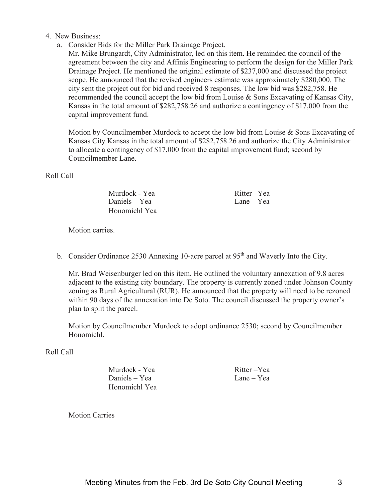- 4. New Business:
	- a. Consider Bids for the Miller Park Drainage Project.

Mr. Mike Brungardt, City Administrator, led on this item. He reminded the council of the agreement between the city and Affinis Engineering to perform the design for the Miller Park Drainage Project. He mentioned the original estimate of \$237,000 and discussed the project scope. He announced that the revised engineers estimate was approximately \$280,000. The city sent the project out for bid and received 8 responses. The low bid was \$282,758. He recommended the council accept the low bid from Louise & Sons Excavating of Kansas City, Kansas in the total amount of \$282,758.26 and authorize a contingency of \$17,000 from the capital improvement fund.

Motion by Councilmember Murdock to accept the low bid from Louise & Sons Excavating of Kansas City Kansas in the total amount of \$282,758.26 and authorize the City Administrator to allocate a contingency of \$17,000 from the capital improvement fund; second by Councilmember Lane.

Roll Call

| Murdock - Yea | Ritter-Yea |
|---------------|------------|
| Daniels – Yea | Lane – Yea |
| Honomichl Yea |            |

Motion carries.

b. Consider Ordinance 2530 Annexing 10-acre parcel at  $95<sup>th</sup>$  and Waverly Into the City.

Mr. Brad Weisenburger led on this item. He outlined the voluntary annexation of 9.8 acres adjacent to the existing city boundary. The property is currently zoned under Johnson County zoning as Rural Agricultural (RUR). He announced that the property will need to be rezoned within 90 days of the annexation into De Soto. The council discussed the property owner's plan to split the parcel.

Motion by Councilmember Murdock to adopt ordinance 2530; second by Councilmember Honomichl.

Roll Call

Murdock - Yea Ritter – Yea Daniels – Yea Lane – Yea Honomichl Yea

Motion Carries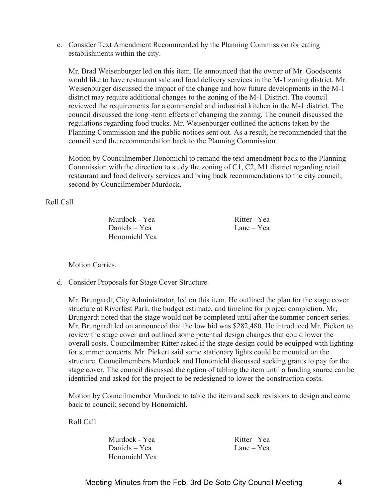c. Consider Text Amendment Recommended by the Planning Commission for eating establishments within the city.

Mr. Brad Weisenburger led on this item. He announced that the owner of Mr. Goodscents would like to have restaurant sale and food delivery services in the M-1 zoning district. Mr. Weisenburger discussed the impact of the change and how future developments in the M-1 district may require additional changes to the zoning of the M-1 District. The council reviewed the requirements for a commercial and industrial kitchen in the M-1 district. The council discussed the long -term effects of changing the zoning. The council discussed the regulations regarding food trucks. Mr. Weisenburger outlined the actions taken by the Planning Commission and the public notices sent out. As a result, he recommended that the council send the recommendation back to the Planning Commission.

Motion by Councilmember Honomichl to remand the text amendment back to the Planning Commission with the direction to study the zoning of C1, C2, M1 district regarding retail restaurant and food delivery services and bring back recommendations to the city council; second by Councilmember Murdock.

Roll Call

Murdock - Yea Ritter – Yea Daniels – Yea Lane – Yea Honomichl Yea

Motion Carries.

d. Consider Proposals for Stage Cover Structure.

Mr. Brungardt, City Administrator, led on this item. He outlined the plan for the stage cover structure at Riverfest Park, the budget estimate, and timeline for project completion. Mr, Brungardt noted that the stage would not be completed until after the summer concert series. Mr. Brungardt led on announced that the low bid was \$282,480. He introduced Mr. Pickert to review the stage cover and outlined some potential design changes that could lower the overall costs. Councilmember Ritter asked if the stage design could be equipped with lighting for summer concerts. Mr. Pickert said some stationary lights could be mounted on the structure. Councilmembers Murdock and Honomichl discussed seeking grants to pay for the stage cover. The council discussed the option of tabling the item until a funding source can be identified and asked for the project to be redesigned to lower the construction costs.

Motion by Councilmember Murdock to table the item and seek revisions to design and come back to council; second by Honomichl.

Roll Call

Murdock - Yea Ritter – Yea Daniels – Yea Lane – Yea Honomichl Yea